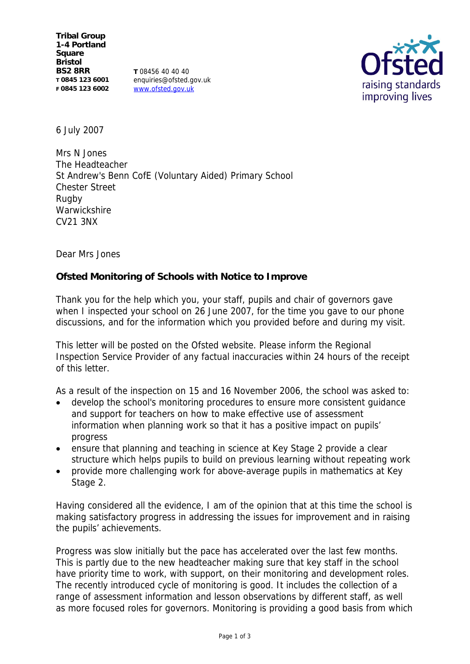**Tribal Group 1-4 Portland Square Bristol BS2 8RR T 0845 123 6001 F 0845 123 6002**

**T** 08456 40 40 40 enquiries@ofsted.gov.uk www.ofsted.gov.uk



6 July 2007

Mrs N Jones The Headteacher St Andrew's Benn CofE (Voluntary Aided) Primary School Chester Street Rugby **Warwickshire** CV21 3NX

Dear Mrs Jones

**Ofsted Monitoring of Schools with Notice to Improve**

Thank you for the help which you, your staff, pupils and chair of governors gave when I inspected your school on 26 June 2007, for the time you gave to our phone discussions, and for the information which you provided before and during my visit.

This letter will be posted on the Ofsted website. Please inform the Regional Inspection Service Provider of any factual inaccuracies within 24 hours of the receipt of this letter.

As a result of the inspection on 15 and 16 November 2006, the school was asked to:

- develop the school's monitoring procedures to ensure more consistent guidance and support for teachers on how to make effective use of assessment information when planning work so that it has a positive impact on pupils' progress
- ensure that planning and teaching in science at Key Stage 2 provide a clear structure which helps pupils to build on previous learning without repeating work
- provide more challenging work for above-average pupils in mathematics at Key Stage 2.

Having considered all the evidence, I am of the opinion that at this time the school is making satisfactory progress in addressing the issues for improvement and in raising the pupils' achievements.

Progress was slow initially but the pace has accelerated over the last few months. This is partly due to the new headteacher making sure that key staff in the school have priority time to work, with support, on their monitoring and development roles. The recently introduced cycle of monitoring is good. It includes the collection of a range of assessment information and lesson observations by different staff, as well as more focused roles for governors. Monitoring is providing a good basis from which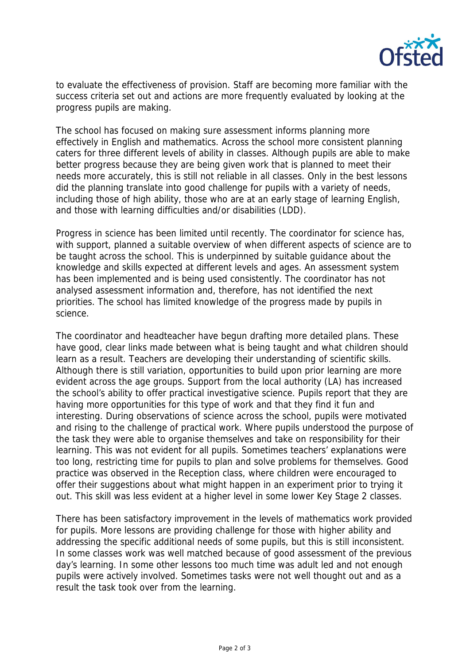

to evaluate the effectiveness of provision. Staff are becoming more familiar with the success criteria set out and actions are more frequently evaluated by looking at the progress pupils are making.

The school has focused on making sure assessment informs planning more effectively in English and mathematics. Across the school more consistent planning caters for three different levels of ability in classes. Although pupils are able to make better progress because they are being given work that is planned to meet their needs more accurately, this is still not reliable in all classes. Only in the best lessons did the planning translate into good challenge for pupils with a variety of needs, including those of high ability, those who are at an early stage of learning English, and those with learning difficulties and/or disabilities (LDD).

Progress in science has been limited until recently. The coordinator for science has, with support, planned a suitable overview of when different aspects of science are to be taught across the school. This is underpinned by suitable guidance about the knowledge and skills expected at different levels and ages. An assessment system has been implemented and is being used consistently. The coordinator has not analysed assessment information and, therefore, has not identified the next priorities. The school has limited knowledge of the progress made by pupils in science.

The coordinator and headteacher have begun drafting more detailed plans. These have good, clear links made between what is being taught and what children should learn as a result. Teachers are developing their understanding of scientific skills. Although there is still variation, opportunities to build upon prior learning are more evident across the age groups. Support from the local authority (LA) has increased the school's ability to offer practical investigative science. Pupils report that they are having more opportunities for this type of work and that they find it fun and interesting. During observations of science across the school, pupils were motivated and rising to the challenge of practical work. Where pupils understood the purpose of the task they were able to organise themselves and take on responsibility for their learning. This was not evident for all pupils. Sometimes teachers' explanations were too long, restricting time for pupils to plan and solve problems for themselves. Good practice was observed in the Reception class, where children were encouraged to offer their suggestions about what might happen in an experiment prior to trying it out. This skill was less evident at a higher level in some lower Key Stage 2 classes.

There has been satisfactory improvement in the levels of mathematics work provided for pupils. More lessons are providing challenge for those with higher ability and addressing the specific additional needs of some pupils, but this is still inconsistent. In some classes work was well matched because of good assessment of the previous day's learning. In some other lessons too much time was adult led and not enough pupils were actively involved. Sometimes tasks were not well thought out and as a result the task took over from the learning.